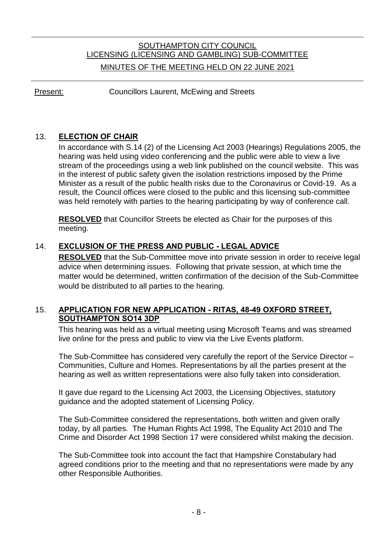# SOUTHAMPTON CITY COUNCIL LICENSING (LICENSING AND GAMBLING) SUB-COMMITTEE MINUTES OF THE MEETING HELD ON 22 JUNE 2021

Present: Councillors Laurent, McEwing and Streets

## 13. **ELECTION OF CHAIR**

In accordance with S.14 (2) of the Licensing Act 2003 (Hearings) Regulations 2005, the hearing was held using video conferencing and the public were able to view a live stream of the proceedings using a web link published on the council website. This was in the interest of public safety given the isolation restrictions imposed by the Prime Minister as a result of the public health risks due to the Coronavirus or Covid-19. As a result, the Council offices were closed to the public and this licensing sub-committee was held remotely with parties to the hearing participating by way of conference call.

**RESOLVED** that Councillor Streets be elected as Chair for the purposes of this meeting.

## 14. **EXCLUSION OF THE PRESS AND PUBLIC - LEGAL ADVICE**

**RESOLVED** that the Sub-Committee move into private session in order to receive legal advice when determining issues. Following that private session, at which time the matter would be determined, written confirmation of the decision of the Sub-Committee would be distributed to all parties to the hearing.

## 15. **APPLICATION FOR NEW APPLICATION - RITAS, 48-49 OXFORD STREET, SOUTHAMPTON SO14 3DP**

This hearing was held as a virtual meeting using Microsoft Teams and was streamed live online for the press and public to view via the Live Events platform.

The Sub-Committee has considered very carefully the report of the Service Director – Communities, Culture and Homes. Representations by all the parties present at the hearing as well as written representations were also fully taken into consideration.

It gave due regard to the Licensing Act 2003, the Licensing Objectives, statutory guidance and the adopted statement of Licensing Policy.

The Sub-Committee considered the representations, both written and given orally today, by all parties. The Human Rights Act 1998, The Equality Act 2010 and The Crime and Disorder Act 1998 Section 17 were considered whilst making the decision.

The Sub-Committee took into account the fact that Hampshire Constabulary had agreed conditions prior to the meeting and that no representations were made by any other Responsible Authorities.